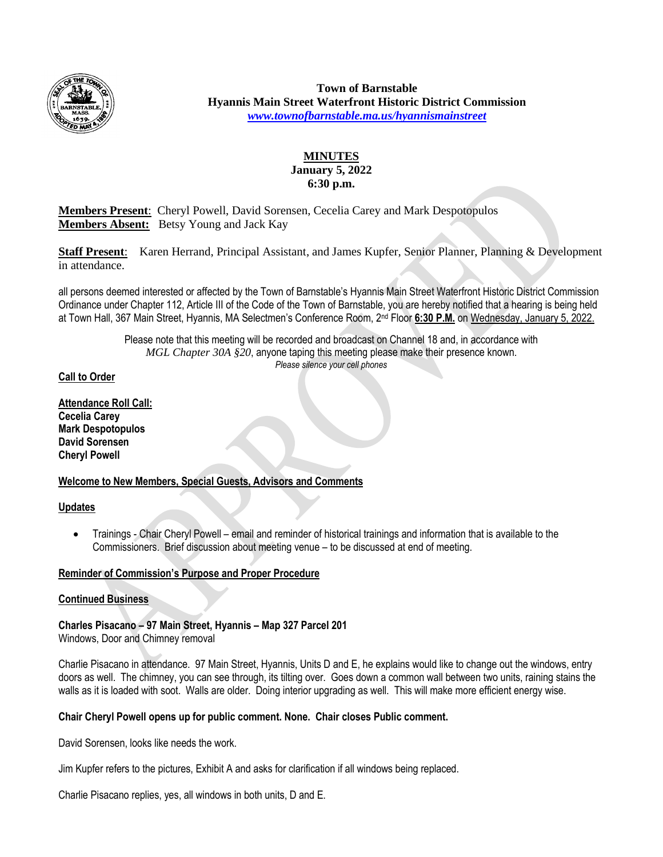

**Town of Barnstable Hyannis Main Street Waterfront Historic District Commission** *[www.townofbarnstable.ma.us/hyannismainstreet](http://www.townofbarnstable.ma.us/hyannismainstreet)*

## **MINUTES January 5, 2022 6:30 p.m.**

**Members Present**: Cheryl Powell, David Sorensen, Cecelia Carey and Mark Despotopulos **Members Absent:** Betsy Young and Jack Kay

**Staff Present**: Karen Herrand, Principal Assistant, and James Kupfer, Senior Planner, Planning & Development in attendance.

all persons deemed interested or affected by the Town of Barnstable's Hyannis Main Street Waterfront Historic District Commission Ordinance under Chapter 112, Article III of the Code of the Town of Barnstable, you are hereby notified that a hearing is being held at Town Hall, 367 Main Street, Hyannis, MA Selectmen's Conference Room, 2<sup>nd</sup> Floor 6:30 P.M. on Wednesday, January 5, 2022.

> Please note that this meeting will be recorded and broadcast on Channel 18 and, in accordance with *MGL Chapter 30A §20*, anyone taping this meeting please make their presence known. *Please silence your cell phones*

## **Call to Order**

**Attendance Roll Call: Cecelia Carey Mark Despotopulos David Sorensen Cheryl Powell**

## **Welcome to New Members, Special Guests, Advisors and Comments**

#### **Updates**

 Trainings - Chair Cheryl Powell – email and reminder of historical trainings and information that is available to the Commissioners. Brief discussion about meeting venue – to be discussed at end of meeting.

#### **Reminder of Commission's Purpose and Proper Procedure**

#### **Continued Business**

**Charles Pisacano – 97 Main Street, Hyannis – Map 327 Parcel 201** Windows, Door and Chimney removal

Charlie Pisacano in attendance. 97 Main Street, Hyannis, Units D and E, he explains would like to change out the windows, entry doors as well. The chimney, you can see through, its tilting over. Goes down a common wall between two units, raining stains the walls as it is loaded with soot. Walls are older. Doing interior upgrading as well. This will make more efficient energy wise.

#### **Chair Cheryl Powell opens up for public comment. None. Chair closes Public comment.**

David Sorensen, looks like needs the work.

Jim Kupfer refers to the pictures, Exhibit A and asks for clarification if all windows being replaced.

Charlie Pisacano replies, yes, all windows in both units, D and E.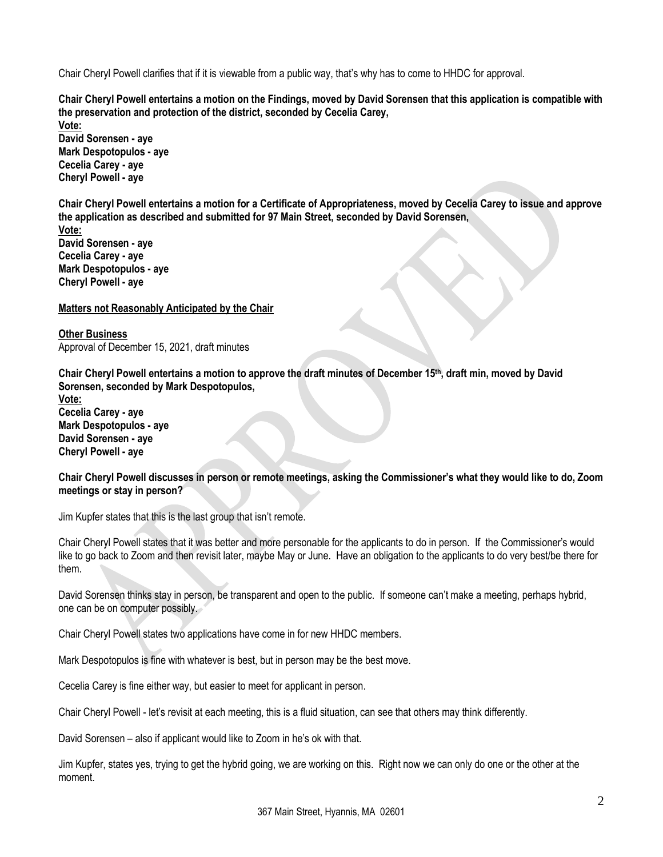Chair Cheryl Powell clarifies that if it is viewable from a public way, that's why has to come to HHDC for approval.

**Chair Cheryl Powell entertains a motion on the Findings, moved by David Sorensen that this application is compatible with the preservation and protection of the district, seconded by Cecelia Carey,**

**Vote: David Sorensen - aye Mark Despotopulos - aye Cecelia Carey - aye Cheryl Powell - aye**

**Chair Cheryl Powell entertains a motion for a Certificate of Appropriateness, moved by Cecelia Carey to issue and approve the application as described and submitted for 97 Main Street, seconded by David Sorensen,**

**Vote: David Sorensen - aye Cecelia Carey - aye Mark Despotopulos - aye Cheryl Powell - aye**

#### **Matters not Reasonably Anticipated by the Chair**

**Other Business** Approval of December 15, 2021, draft minutes

**Chair Cheryl Powell entertains a motion to approve the draft minutes of December 15th, draft min, moved by David Sorensen, seconded by Mark Despotopulos,**

**Vote: Cecelia Carey - aye Mark Despotopulos - aye David Sorensen - aye Cheryl Powell - aye**

**Chair Cheryl Powell discusses in person or remote meetings, asking the Commissioner's what they would like to do, Zoom meetings or stay in person?**

Jim Kupfer states that this is the last group that isn't remote.

Chair Cheryl Powell states that it was better and more personable for the applicants to do in person. If the Commissioner's would like to go back to Zoom and then revisit later, maybe May or June. Have an obligation to the applicants to do very best/be there for them.

David Sorensen thinks stay in person, be transparent and open to the public. If someone can't make a meeting, perhaps hybrid, one can be on computer possibly.

Chair Cheryl Powell states two applications have come in for new HHDC members.

Mark Despotopulos is fine with whatever is best, but in person may be the best move.

Cecelia Carey is fine either way, but easier to meet for applicant in person.

Chair Cheryl Powell - let's revisit at each meeting, this is a fluid situation, can see that others may think differently.

David Sorensen – also if applicant would like to Zoom in he's ok with that.

Jim Kupfer, states yes, trying to get the hybrid going, we are working on this. Right now we can only do one or the other at the moment.